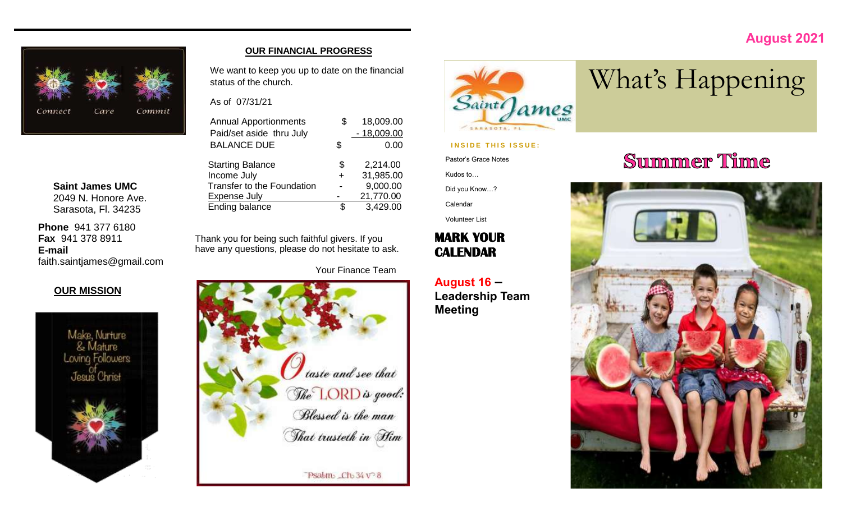## **August 2021**



**Saint James UMC** 2049 N. Honore Ave. Sarasota, Fl. 34235

**Phone** 941 377 6180 **Fax** 941 378 8911 **E-mail** faith.saintjames@gmail.com

## **OUR MISSION**



### **OUR FINANCIAL PROGRESS**

We want to keep you up to date on the financial status of the church.

As of 07/31/21

| <b>Annual Apportionments</b><br>Paid/set aside thru July | S.     | 18,009.00<br>$-18,009.00$ |
|----------------------------------------------------------|--------|---------------------------|
| <b>BALANCE DUE</b>                                       | \$     | 0.00                      |
| <b>Starting Balance</b>                                  | \$     | 2,214.00                  |
| Income July                                              | $\div$ | 31,985.00                 |
| Transfer to the Foundation                               |        | 9,000.00                  |
| <b>Expense July</b>                                      |        | 21,770.00                 |
| Ending balance                                           | S      | 3,429.00                  |

Thank you for being such faithful givers. If you have any questions, please do not hesitate to ask.

Your Finance Team





### **INSIDE THIS ISSUE:**

Pastor's Grace Notes

Kudos to…

Did you Know…?

Calendar

Volunteer List

## **MARK YOUR CALENDAR**

**August 16 – Leadership Team Meeting**

# **Summer Time**

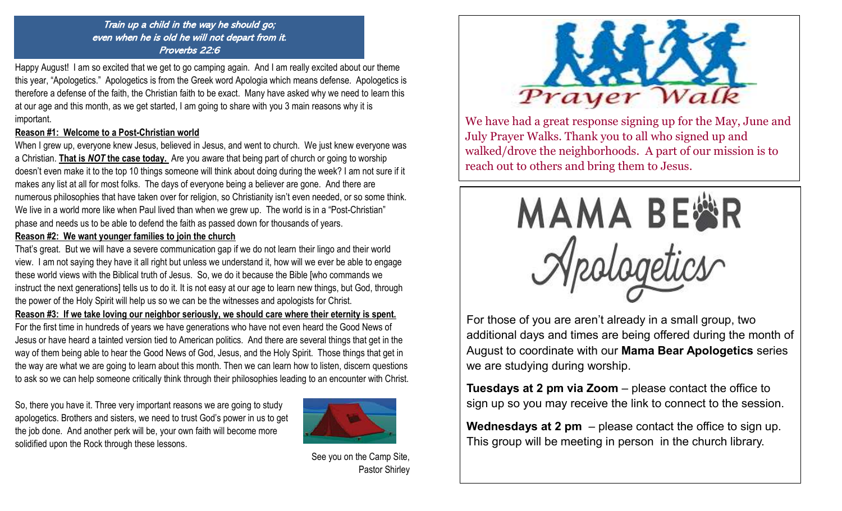Train up a child in the way he should go; even when he is old he will not depart from it. Proverbs 22:6

Happy August! I am so excited that we get to go camping again. And I am really excited about our theme this year, "Apologetics." Apologetics is from the Greek word Apologia which means defense. Apologetics is therefore a defense of the faith, the Christian faith to be exact. Many have asked why we need to learn this at our age and this month, as we get started, I am going to share with you 3 main reasons why it is important.

### **Reason #1: Welcome to a Post-Christian world**

When I grew up, everyone knew Jesus, believed in Jesus, and went to church. We just knew everyone was a Christian. **That is** *NOT* **the case today.** Are you aware that being part of church or going to worship doesn't even make it to the top 10 things someone will think about doing during the week? I am not sure if it makes any list at all for most folks. The days of everyone being a believer are gone. And there are numerous philosophies that have taken over for religion, so Christianity isn't even needed, or so some think. We live in a world more like when Paul lived than when we grew up. The world is in a "Post-Christian" phase and needs us to be able to defend the faith as passed down for thousands of years.

## **Reason #2: We want younger families to join the church**

That's great. But we will have a severe communication gap if we do not learn their lingo and their world view. I am not saying they have it all right but unless we understand it, how will we ever be able to engage these world views with the Biblical truth of Jesus. So, we do it because the Bible [who commands we instruct the next generations] tells us to do it. It is not easy at our age to learn new things, but God, through the power of the Holy Spirit will help us so we can be the witnesses and apologists for Christ.

**Reason #3: If we take loving our neighbor seriously, we should care where their eternity is spent.** For the first time in hundreds of years we have generations who have not even heard the Good News of Jesus or have heard a tainted version tied to American politics. And there are several things that get in the way of them being able to hear the Good News of God, Jesus, and the Holy Spirit. Those things that get in the way are what we are going to learn about this month. Then we can learn how to listen, discern questions to ask so we can help someone critically think through their philosophies leading to an encounter with Christ.

So, there you have it. Three very important reasons we are going to study apologetics. Brothers and sisters, we need to trust God's power in us to get the job done. And another perk will be, your own faith will become more solidified upon the Rock through these lessons.



See you on the Camp Site, Pastor Shirley



We have had a great response signing up for the May, June and July Prayer Walks. Thank you to all who signed up and walked/drove the neighborhoods. A part of our mission is to reach out to others and bring them to Jesus.



For those of you are aren't already in a small group, two additional days and times are being offered during the month of August to coordinate with our **Mama Bear Apologetics** series we are studying during worship.

**Tuesdays at 2 pm via Zoom** – please contact the office to sign up so you may receive the link to connect to the session.

**Wednesdays at 2 pm** – please contact the office to sign up. This group will be meeting in person in the church library.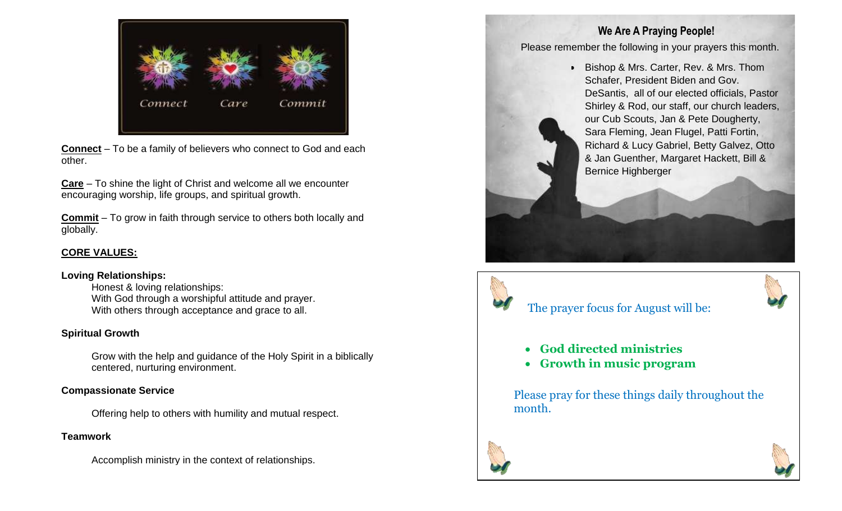

**Connect** – To be a family of believers who connect to God and each other.

**Care** – To shine the light of Christ and welcome all we encounter encouraging worship, life groups, and spiritual growth.

**Commit** – To grow in faith through service to others both locally and globally.

## **CORE VALUES:**

## **Loving Relationships:**

Honest & loving relationships: With God through a worshipful attitude and prayer. With others through acceptance and grace to all.

## **Spiritual Growth**

Grow with the help and guidance of the Holy Spirit in a biblically centered, nurturing environment.

## **Compassionate Service**

Offering help to others with humility and mutual respect.

## **Teamwork**

Accomplish ministry in the context of relationships.

## **We Are A Praying People!**

Please remember the following in your prayers this month.

• Bishop & Mrs. Carter, Rev. & Mrs. Thom Schafer, President Biden and Gov. DeSantis, all of our elected officials, Pastor Shirley & Rod, our staff, our church leaders, our Cub Scouts, Jan & Pete Dougherty, Sara Fleming, Jean Flugel, Patti Fortin, Richard & Lucy Gabriel, Betty Galvez, Otto & Jan Guenther, Margaret Hackett, Bill & Bernice Highberger

## The prayer focus for August will be:



- **God directed ministries**
- **Growth in music program**

Please pray for these things daily throughout the month.



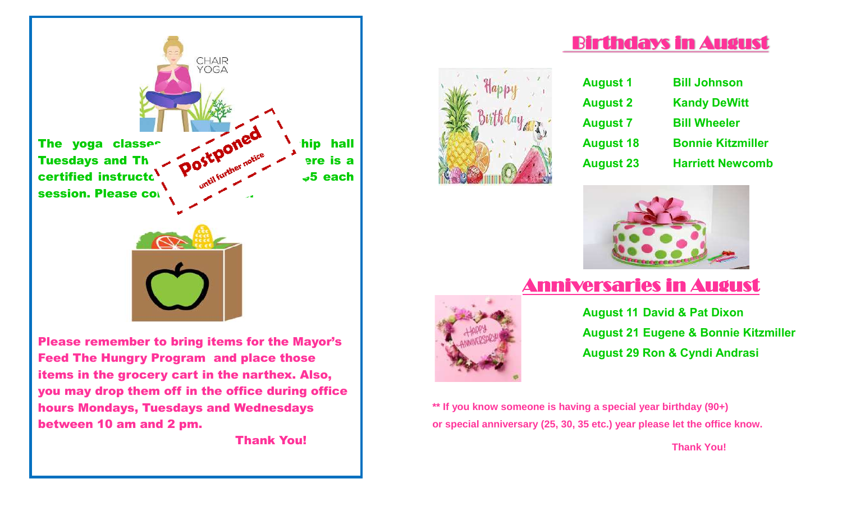

Please remember to bring items for the Mayor's Feed The Hungry Program and place those items in the grocery cart in the narthex. Also, you may drop them off in the office during office hours Mondays, Tuesdays and Wednesdays between 10 am and 2 pm.

Thank You!



| <b>Bill Johnson</b>      |
|--------------------------|
| <b>Kandy DeWitt</b>      |
| <b>Bill Wheeler</b>      |
| <b>Bonnie Kitzmiller</b> |
| <b>Harriett Newcomb</b>  |
|                          |

Birthdays in August



## Anniversaries in August



**August 11 David & Pat Dixon August 21 Eugene & Bonnie Kitzmiller August 29 Ron & Cyndi Andrasi**

**\*\* If you know someone is having a special year birthday (90+) or special anniversary (25, 30, 35 etc.) year please let the office know.** 

 **Thank You!**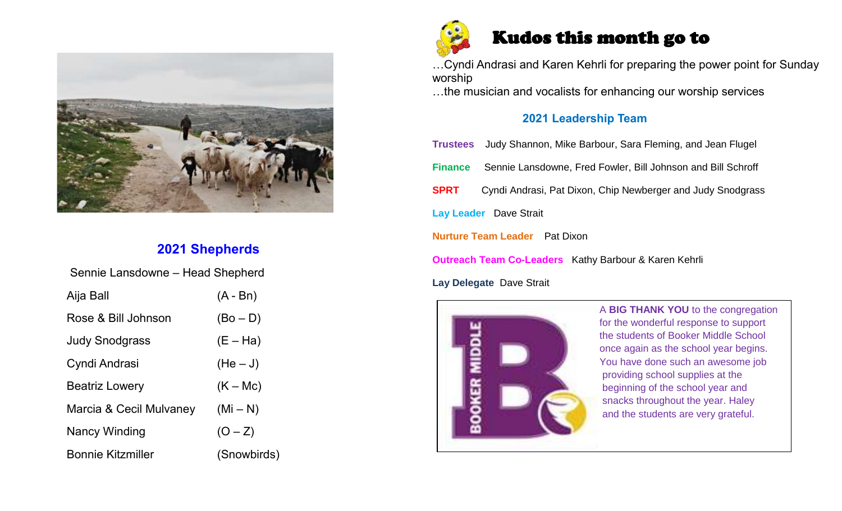

## **2021 Shepherds**

| Sennie Lansdowne - Head Shepherd |             |  |  |  |  |  |  |
|----------------------------------|-------------|--|--|--|--|--|--|
| Aija Ball                        | $(A - Bn)$  |  |  |  |  |  |  |
| Rose & Bill Johnson              | $(Bo - D)$  |  |  |  |  |  |  |
| <b>Judy Snodgrass</b>            | $(E - Ha)$  |  |  |  |  |  |  |
| Cyndi Andrasi                    | $(He-J)$    |  |  |  |  |  |  |
| <b>Beatriz Lowery</b>            | $(K - Mc)$  |  |  |  |  |  |  |
| Marcia & Cecil Mulvaney          | $(Mi-N)$    |  |  |  |  |  |  |
| <b>Nancy Winding</b>             | $(O - Z)$   |  |  |  |  |  |  |
| <b>Bonnie Kitzmiller</b>         | (Snowbirds) |  |  |  |  |  |  |



## Kudos this month go to

…Cyndi Andrasi and Karen Kehrli for preparing the power point for Sunday worship

…the musician and vocalists for enhancing our worship services

## **2021 Leadership Team**

**Trustees** Judy Shannon, Mike Barbour, Sara Fleming, and Jean Flugel

**Finance** Sennie Lansdowne, Fred Fowler, Bill Johnson and Bill Schroff

**SPRT** Cyndi Andrasi, Pat Dixon, Chip Newberger and Judy Snodgrass

**Lay Leader** Dave Strait

**Nurture Team Leader** Pat Dixon

**Outreach Team Co-Leaders** Kathy Barbour & Karen Kehrli

**Lay Delegate** Dave Strait



 A **BIG THANK YOU** to the congregation for the wonderful response to support the students of Booker Middle School once again as the school year begins. You have done such an awesome job providing school supplies at the beginning of the school year and snacks throughout the year. Haley and the students are very grateful.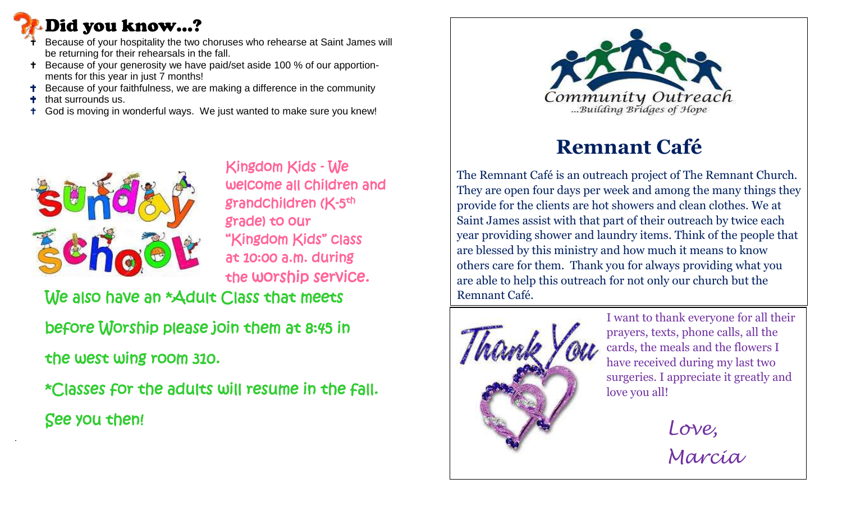# Did you know…?

- Because of your hospitality the two choruses who rehearse at Saint James will be returning for their rehearsals in the fall.
- Because of your generosity we have paid/set aside 100 % of our apportionments for this year in just 7 months!
- Because of your faithfulness, we are making a difference in the community
- that surrounds us.
- God is moving in wonderful ways. We just wanted to make sure you knew!



 Kingdom Kids - We welcome all children and grade) to our "Kingdom Kids" class at 10:00 a.m. during the worship service.

We also have an \*Adult Class that meets

 before Worship please join them at 8:45 in the west wing room 310.

 \*Classes for the adults will resume in the fall. See you then!



# **Remnant Café**

The Remnant Café is an outreach project of The Remnant Church. They are open four days per week and among the many things they provide for the clients are hot showers and clean clothes. We at Saint James assist with that part of their outreach by twice each year providing shower and laundry items. Think of the people that are blessed by this ministry and how much it means to know others care for them. Thank you for always providing what you are able to help this outreach for not only our church but the Remnant Café.



I want to thank everyone for all their prayers, texts, phone calls, all the cards, the meals and the flowers I have received during my last two surgeries. I appreciate it greatly and love you all!

> *Love, Marcia*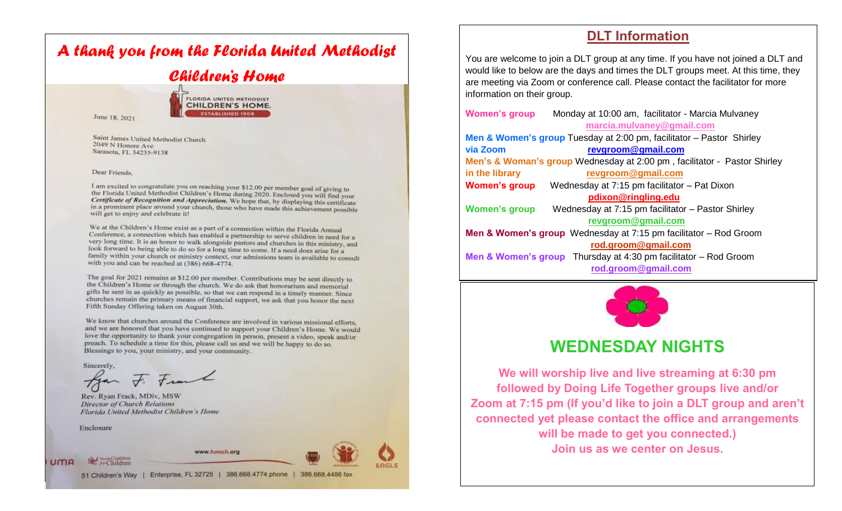# *A thank you from the Florida United Methodist Children's Home*

June 18, 2021



Saint James United Methodist Church 2049 N Honore Ave Sarasota, FL 34235-9138

### Dear Friends

I am excited to congratulate you on reaching your \$12.00 per member goal of giving to the Florida United Methodist Children's Home during 2020. Enclosed you will find your Certificate of Recognition and Appreciation. We hope that, by displaying this certificate in a prominent place around your church, those who have made this achievement possible will get to enjoy and celebrate it!

We at the Children's Home exist as a part of a connection within the Florida Annual Conference, a connection which has enabled a partnership to serve children in need for a very long time. It is an honor to walk alongside pastors and churches in this ministry, and look forward to being able to do so for a long time to come. If a need does arise for a family within your church or ministry context, our admissions team is available to consult with you and can be reached at (386) 668-4774.

The goal for 2021 remains at \$12.00 per member. Contributions may be sent directly to the Children's Home or through the church. We do ask that honorarium and memorial gifts be sent in as quickly as possible, so that we can respond in a timely manner. Since churches remain the primary means of financial support, we ask that you honor the next Fifth Sunday Offering taken on August 30th.

We know that churches around the Conference are involved in various missional efforts. and we are honored that you have continued to support your Children's Home. We would love the opportunity to thank your congregation in person, present a video, speak and/or preach. To schedule a time for this, please call us and we will be happy to do so. Blessings to you, your ministry, and your community.

Sincerely,

F. Frank

Rev. Ryan Frack, MDiv, MSW **Director of Church Relations** Florida United Methodist Children's Home

Enclosure

**UMA** 

A Fund Confirmed





51 Children's Way | Enterprise, FL 32725 | 386.668.4774 phone | 386.668.4486 fax

## **DLT Information**

You are welcome to join a DLT group at any time. If you have not joined a DLT and would like to below are the days and times the DLT groups meet. At this time, they are meeting via Zoom or conference call. Please contact the facilitator for more information on their group.

**Women's group** Monday at 10:00 am, facilitator - Marcia Mulvaney **[marcia.mulvaney@gmail.com](mailto:marcia.mulvaney@gmail.com) Men & Women's group** Tuesday at 2:00 pm, facilitator – Pastor Shirley **via Zoom [revgroom@gmail.com](mailto:revgroom@gmail.com) Men's & Woman's group** Wednesday at 2:00 pm , facilitator - Pastor Shirley **in the library [revgroom@gmail.com](mailto:revgroom@gmail.com) Women's group** Wednesday at 7:15 pm facilitator – Pat Dixon **[pdixon@ringling.edu](mailto:pdixon@ringling.edu) Women's group** Wednesday at 7:15 pm facilitator – Pastor Shirley  **[revgroom@gmail.com](mailto:revgroom@gmail.com) Men & Women's group** Wednesday at 7:15 pm facilitator – Rod Groom **[rod.groom@gmail.com](mailto:rod.groom@gmail.com) Men & Women's group** Thursday at 4:30 pm facilitator – Rod Groom  **[rod.groom@gmail.com](mailto:rod.groom@gmail.com)**  $\overline{a}$ 



## **WEDNESDAY NIGHTS**

**We will worship live and live streaming at 6:30 pm followed by Doing Life Together groups live and/or Zoom at 7:15 pm (If you'd like to join a DLT group and aren't connected yet please contact the office and arrangements will be made to get you connected.) Join us as we center on Jesus.**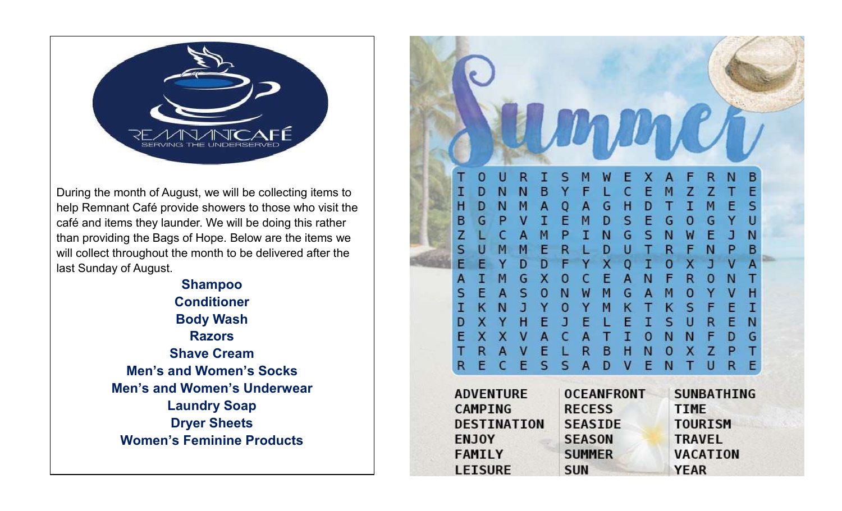

During the month of August, we will be collecting items to help Remnant Café provide showers to those who visit the café and items they launder. We will be doing this rather than providing the Bags of Hope. Below are the items we will collect throughout the month to be delivered after the last Sunday of August.

> **Shampoo Conditioner Body Wash Razors Shave Cream Men's and Women's Socks Men's and Women's Underwear Laundry Soap Dryer Sheets Women's Feminine Products**

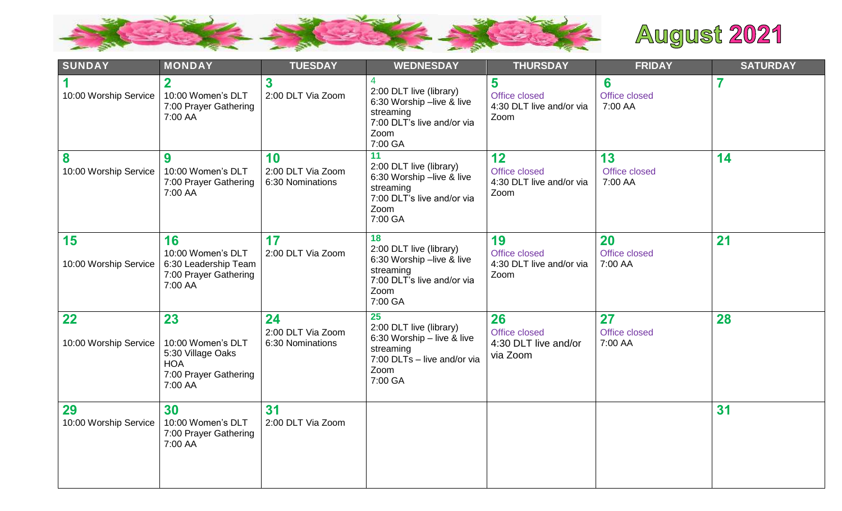

# **August 2021**

| <b>SUNDAY</b>               | <b>MONDAY</b>                                                                                  | <b>TUESDAY</b>                              | <b>WEDNESDAY</b>                                                                                                           | <b>THURSDAY</b>                                         | <b>FRIDAY</b>                  | <b>SATURDAY</b> |
|-----------------------------|------------------------------------------------------------------------------------------------|---------------------------------------------|----------------------------------------------------------------------------------------------------------------------------|---------------------------------------------------------|--------------------------------|-----------------|
| 10:00 Worship Service       | $\mathbf{2}$<br>10:00 Women's DLT<br>7:00 Prayer Gathering<br>7:00 AA                          | 3<br>2:00 DLT Via Zoom                      | 2:00 DLT live (library)<br>6:30 Worship -live & live<br>streaming<br>7:00 DLT's live and/or via<br>Zoom<br>7:00 GA         | 5<br>Office closed<br>4:30 DLT live and/or via<br>Zoom  | 6<br>Office closed<br>7:00 AA  |                 |
| 8<br>10:00 Worship Service  | 9<br>10:00 Women's DLT<br>7:00 Prayer Gathering<br>7:00 AA                                     | 10<br>2:00 DLT Via Zoom<br>6:30 Nominations | 11<br>2:00 DLT live (library)<br>6:30 Worship -live & live<br>streaming<br>7:00 DLT's live and/or via<br>Zoom<br>7:00 GA   | 12<br>Office closed<br>4:30 DLT live and/or via<br>Zoom | 13<br>Office closed<br>7:00 AA | 14              |
| 15<br>10:00 Worship Service | 16<br>10:00 Women's DLT<br>6:30 Leadership Team<br>7:00 Prayer Gathering<br>7:00 AA            | 17<br>2:00 DLT Via Zoom                     | 18<br>2:00 DLT live (library)<br>6:30 Worship -live & live<br>streaming<br>7:00 DLT's live and/or via<br>Zoom<br>7:00 GA   | 19<br>Office closed<br>4:30 DLT live and/or via<br>Zoom | 20<br>Office closed<br>7:00 AA | 21              |
| 22<br>10:00 Worship Service | 23<br>10:00 Women's DLT<br>5:30 Village Oaks<br><b>HOA</b><br>7:00 Prayer Gathering<br>7:00 AA | 24<br>2:00 DLT Via Zoom<br>6:30 Nominations | 25<br>2:00 DLT live (library)<br>6:30 Worship - live & live<br>streaming<br>7:00 DLTs - live and/or via<br>Zoom<br>7:00 GA | 26<br>Office closed<br>4:30 DLT live and/or<br>via Zoom | 27<br>Office closed<br>7:00 AA | 28              |
| 29<br>10:00 Worship Service | 30<br>10:00 Women's DLT<br>7:00 Prayer Gathering<br>7:00 AA                                    | 31<br>2:00 DLT Via Zoom                     |                                                                                                                            |                                                         |                                | 31              |